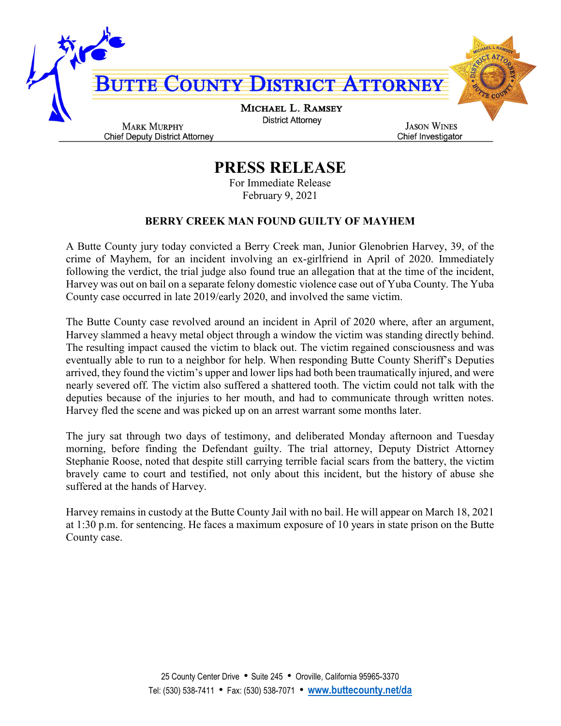

## PRESS RELEASE

For Immediate Release February 9, 2021

## BERRY CREEK MAN FOUND GUILTY OF MAYHEM

A Butte County jury today convicted a Berry Creek man, Junior Glenobrien Harvey, 39, of the crime of Mayhem, for an incident involving an ex-girlfriend in April of 2020. Immediately following the verdict, the trial judge also found true an allegation that at the time of the incident, Harvey was out on bail on a separate felony domestic violence case out of Yuba County. The Yuba County case occurred in late 2019/early 2020, and involved the same victim.

The Butte County case revolved around an incident in April of 2020 where, after an argument, Harvey slammed a heavy metal object through a window the victim was standing directly behind. The resulting impact caused the victim to black out. The victim regained consciousness and was eventually able to run to a neighbor for help. When responding Butte County Sheriff's Deputies arrived, they found the victim's upper and lower lips had both been traumatically injured, and were nearly severed off. The victim also suffered a shattered tooth. The victim could not talk with the deputies because of the injuries to her mouth, and had to communicate through written notes. Harvey fled the scene and was picked up on an arrest warrant some months later.

The jury sat through two days of testimony, and deliberated Monday afternoon and Tuesday morning, before finding the Defendant guilty. The trial attorney, Deputy District Attorney Stephanie Roose, noted that despite still carrying terrible facial scars from the battery, the victim bravely came to court and testified, not only about this incident, but the history of abuse she suffered at the hands of Harvey.

Harvey remains in custody at the Butte County Jail with no bail. He will appear on March 18, 2021 at 1:30 p.m. for sentencing. He faces a maximum exposure of 10 years in state prison on the Butte County case.